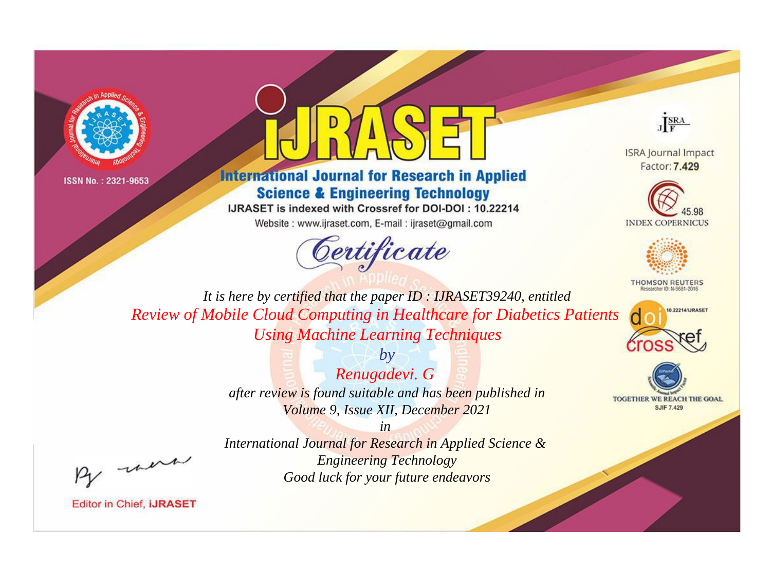



## **International Journal for Research in Applied Science & Engineering Technology**

IJRASET is indexed with Crossref for DOI-DOI: 10.22214

Website: www.ijraset.com, E-mail: ijraset@gmail.com



JERA

**ISRA Journal Impact** Factor: 7.429





**THOMSON REUTERS** 



TOGETHER WE REACH THE GOAL **SJIF 7.429** 

It is here by certified that the paper ID: IJRASET39240, entitled **Review of Mobile Cloud Computing in Healthcare for Diabetics Patients Using Machine Learning Techniques** 

> $b\nu$ Renugadevi. G after review is found suitable and has been published in Volume 9, Issue XII, December 2021

> > $in$

International Journal for Research in Applied Science & **Engineering Technology** Good luck for your future endeavors

were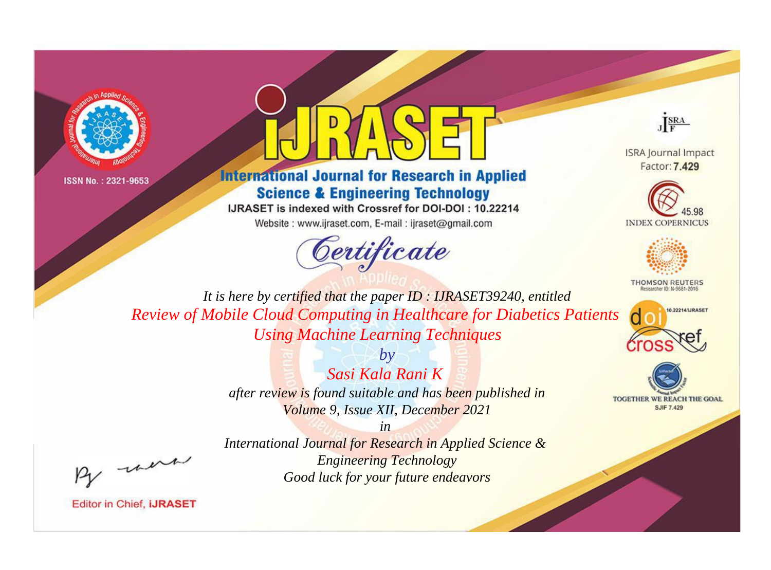



## **International Journal for Research in Applied Science & Engineering Technology**

IJRASET is indexed with Crossref for DOI-DOI: 10.22214

Website: www.ijraset.com, E-mail: ijraset@gmail.com



JERA

**ISRA Journal Impact** Factor: 7.429





**THOMSON REUTERS** 



TOGETHER WE REACH THE GOAL **SJIF 7.429** 

It is here by certified that the paper ID: IJRASET39240, entitled **Review of Mobile Cloud Computing in Healthcare for Diabetics Patients Using Machine Learning Techniques** 

> $b\nu$ Sasi Kala Rani K after review is found suitable and has been published in Volume 9, Issue XII, December 2021

were

International Journal for Research in Applied Science & **Engineering Technology** Good luck for your future endeavors

 $in$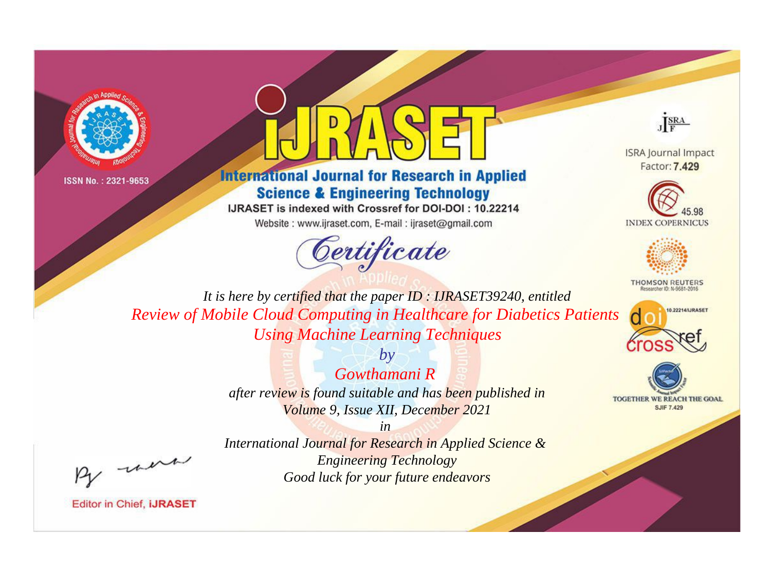



## **International Journal for Research in Applied Science & Engineering Technology**

IJRASET is indexed with Crossref for DOI-DOI: 10.22214

Website: www.ijraset.com, E-mail: ijraset@gmail.com



JERA

**ISRA Journal Impact** Factor: 7.429





**THOMSON REUTERS** 



TOGETHER WE REACH THE GOAL **SJIF 7.429** 

It is here by certified that the paper ID: IJRASET39240, entitled **Review of Mobile Cloud Computing in Healthcare for Diabetics Patients Using Machine Learning Techniques** 

> $b\nu$ Gowthamani R after review is found suitable and has been published in Volume 9, Issue XII, December 2021

 $in$ International Journal for Research in Applied Science & **Engineering Technology** Good luck for your future endeavors

were